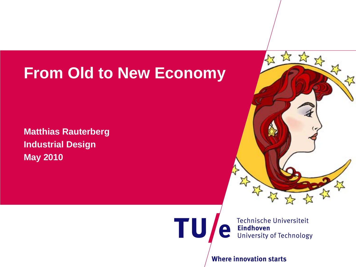# **From Old to New Economy**

**Matthias Rauterberg Industrial Design May 2010**



**Technische Universiteit Eindhoven University of Technology** 

**Where innovation starts** 

 $\mathbf{\underline{\square}}$ 

**TU**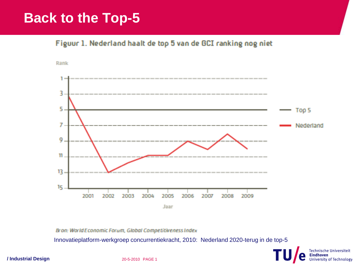#### **Back to the Top-5**

Figuur 1. Nederland haalt de top 5 van de GCI ranking nog niet





Bron: World Economic Forum, Global Competitiveness Index

Innovatieplatform-werkgroep concurrentiekracht, 2010: Nederland 2020-terug in de top-5



**/ Industrial Design 20-5-2010 PAGE 1**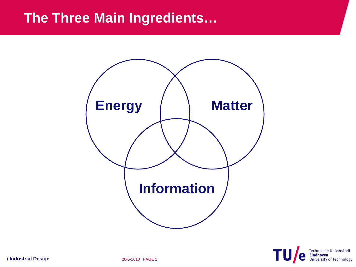#### **The Three Main Ingredients…**





**/ Industrial Design 20-5-2010 PAGE 2**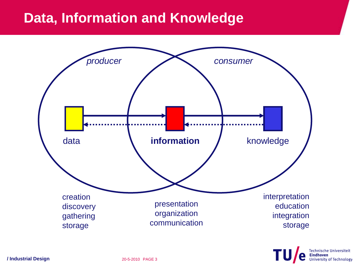#### **Data, Information and Knowledge**



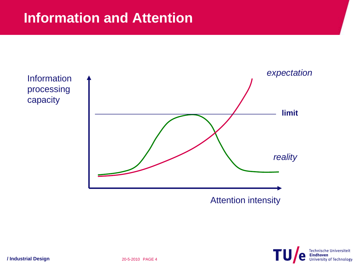



Attention intensity

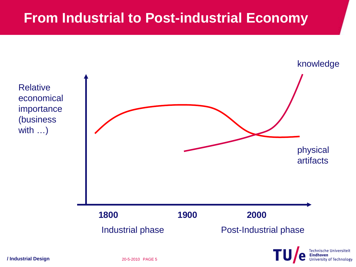#### **From Industrial to Post-industrial Economy**



University of Technology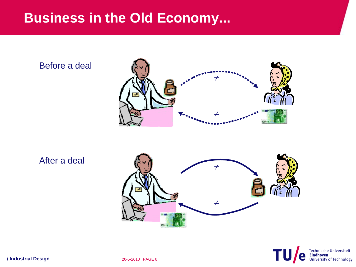#### **Business in the Old Economy...**

Before a deal



After a deal



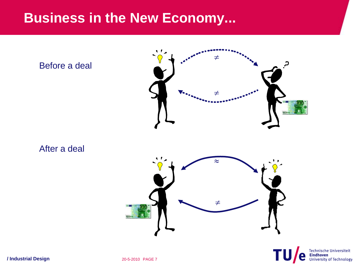#### **Business in the New Economy...**



**/ Industrial Design 20-5-2010 PAGE 7**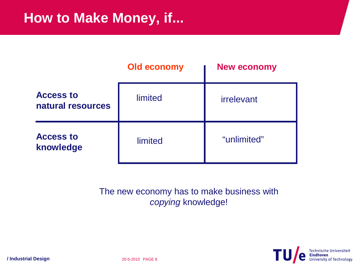#### **How to Make Money, if...**

|                                       | <b>Old economy</b> | <b>New economy</b> |
|---------------------------------------|--------------------|--------------------|
| <b>Access to</b><br>natural resources | limited            | <i>irrelevant</i>  |
| <b>Access to</b><br>knowledge         | limited            | "unlimited"        |

The new economy has to make business with *copying* knowledge!

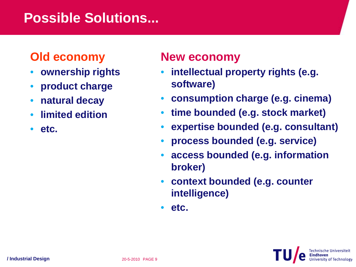## **Possible Solutions...**

#### **Old economy**

- **ownership rights**
- **product charge**
- **natural decay**
- **limited edition**
- **etc.**

#### **New economy**

- **intellectual property rights (e.g. software)**
- **consumption charge (e.g. cinema)**
- **time bounded (e.g. stock market)**
- **expertise bounded (e.g. consultant)**
- **process bounded (e.g. service)**
- **access bounded (e.g. information broker)**
- **context bounded (e.g. counter intelligence)**
- **etc.**

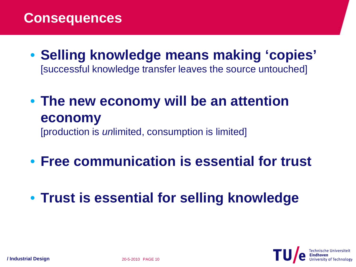#### **Consequences**

- **Selling knowledge means making 'copies'** [successful knowledge transfer leaves the source untouched]
- **The new economy will be an attention economy** [production is *un*limited, consumption is limited]
- **Free communication is essential for trust**
- **Trust is essential for selling knowledge**

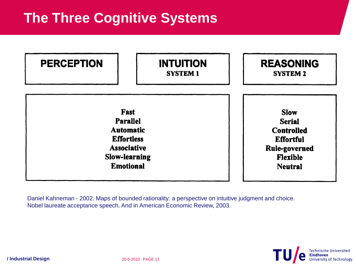## **The Three Cognitive Systems**

| <b>PERCEPTION</b>  | <b>INTUITION</b><br><b>SYSTEM 1</b> | <b>REASONING</b><br><b>SYSTEM 2</b> |
|--------------------|-------------------------------------|-------------------------------------|
| <b>Fast</b>        |                                     | <b>Slow</b>                         |
| <b>Parallel</b>    |                                     | <b>Serial</b>                       |
| <b>Automatic</b>   |                                     | <b>Controlled</b>                   |
| <b>Effortless</b>  |                                     | <b>Effortful</b>                    |
| <b>Associative</b> |                                     | <b>Rule-governed</b>                |
| Slow-learning      |                                     | <b>Flexible</b>                     |
| <b>Emotional</b>   |                                     | <b>Neutral</b>                      |

Daniel Kahneman - 2002. Maps of bounded rationality: a perspective on intuitive judgment and choice. Nobel laureate acceptance speech. And in American Economic Review, 2003.

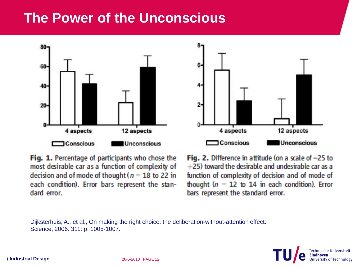#### **The Power of the Unconscious**



6.  $2 -$ 12 aspects 4 aspects **Conscious Unconscious** 

Fig. 1. Percentage of participants who chose the most desirable car as a function of complexity of decision and of mode of thought ( $n = 18$  to 22 in each condition). Error bars represent the standard error.

Fig. 2. Difference in attitude (on a scale of  $-25$  to +25) toward the desirable and undesirable car as a function of complexity of decision and of mode of thought  $(n = 12$  to 14 in each condition). Error bars represent the standard error.

Dijksterhuis, A., et al., On making the right choice: the deliberation-without-attention effect. Science, 2006. 311: p. 1005-1007.

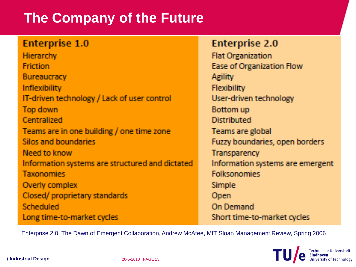## **The Company of the Future**

#### **Enterprise 1.0**

Hierarchy **Friction** Bureaucracy Inflexibility IT-driven technology / Lack of user control Top down Centralized Teams are in one building / one time zone Silos and boundaries Need to know Information systems are structured and dictated **Taxonomies** Overly complex Closed/proprietary standards Scheduled Long time-to-market cycles

#### **Enterprise 2.0**

**Flat Organization** Ease of Organization Flow Agility **Flexibility** User-driven technology Bottom up Distributed Teams are global Fuzzy boundaries, open borders **Transparency** Information systems are emergent **Folksonomies Simple** Open **On Demand** Short time-to-market cycles

Enterprise 2.0: The Dawn of Emergent Collaboration, Andrew McAfee, MIT Sloan Management Review, Spring 2006

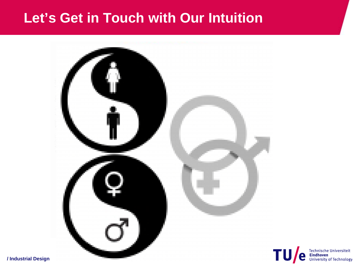#### **Let's Get in Touch with Our Intuition**



**/ Industrial Design**